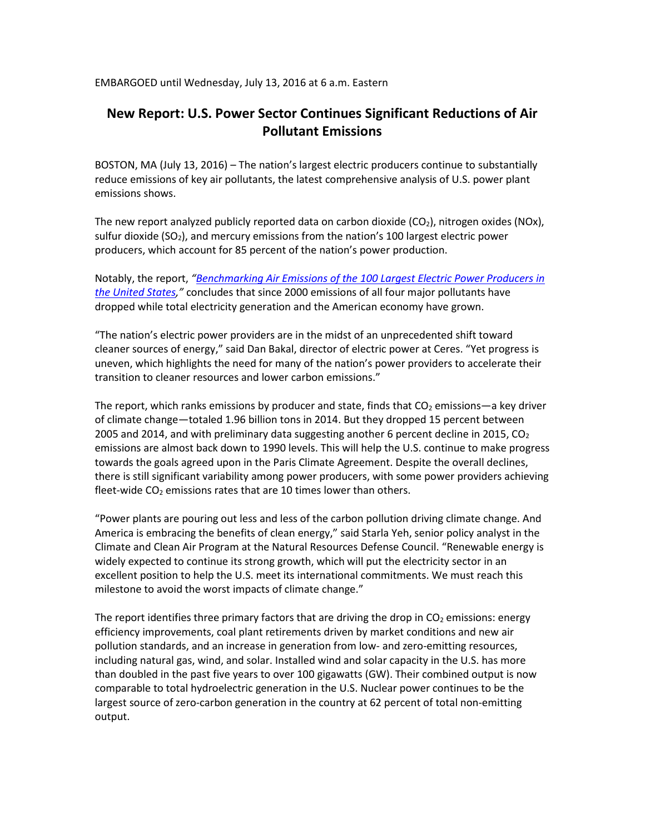EMBARGOED until Wednesday, July 13, 2016 at 6 a.m. Eastern

# **New Report: U.S. Power Sector Continues Significant Reductions of Air Pollutant Emissions**

BOSTON, MA (July 13, 2016) – The nation's largest electric producers continue to substantially reduce emissions of key air pollutants, the latest comprehensive analysis of U.S. power plant emissions shows.

The new report analyzed publicly reported data on carbon dioxide  $(CO<sub>2</sub>)$ , nitrogen oxides (NOx), sulfur dioxide  $(SO<sub>2</sub>)$ , and mercury emissions from the nation's 100 largest electric power producers, which account for 85 percent of the nation's power production.

Notably, the report, *"[Benchmarking Air Emissions of the 100 Largest Electric Power Producers in](http://mjbradley.com/benchmarking-air-emissions)  [the United States](http://mjbradley.com/benchmarking-air-emissions),"* concludes that since 2000 emissions of all four major pollutants have dropped while total electricity generation and the American economy have grown.

"The nation's electric power providers are in the midst of an unprecedented shift toward cleaner sources of energy," said Dan Bakal, director of electric power at Ceres. "Yet progress is uneven, which highlights the need for many of the nation's power providers to accelerate their transition to cleaner resources and lower carbon emissions."

The report, which ranks emissions by producer and state, finds that  $CO<sub>2</sub>$  emissions—a key driver of climate change—totaled 1.96 billion tons in 2014. But they dropped 15 percent between 2005 and 2014, and with preliminary data suggesting another 6 percent decline in 2015,  $CO<sub>2</sub>$ emissions are almost back down to 1990 levels. This will help the U.S. continue to make progress towards the goals agreed upon in the Paris Climate Agreement. Despite the overall declines, there is still significant variability among power producers, with some power providers achieving fleet-wide  $CO<sub>2</sub>$  emissions rates that are 10 times lower than others.

"Power plants are pouring out less and less of the carbon pollution driving climate change. And America is embracing the benefits of clean energy," said Starla Yeh, senior policy analyst in the Climate and Clean Air Program at the Natural Resources Defense Council. "Renewable energy is widely expected to continue its strong growth, which will put the electricity sector in an excellent position to help the U.S. meet its international commitments. We must reach this milestone to avoid the worst impacts of climate change."

The report identifies three primary factors that are driving the drop in  $CO<sub>2</sub>$  emissions: energy efficiency improvements, coal plant retirements driven by market conditions and new air pollution standards, and an increase in generation from low- and zero-emitting resources, including natural gas, wind, and solar. Installed wind and solar capacity in the U.S. has more than doubled in the past five years to over 100 gigawatts (GW). Their combined output is now comparable to total hydroelectric generation in the U.S. Nuclear power continues to be the largest source of zero-carbon generation in the country at 62 percent of total non-emitting output.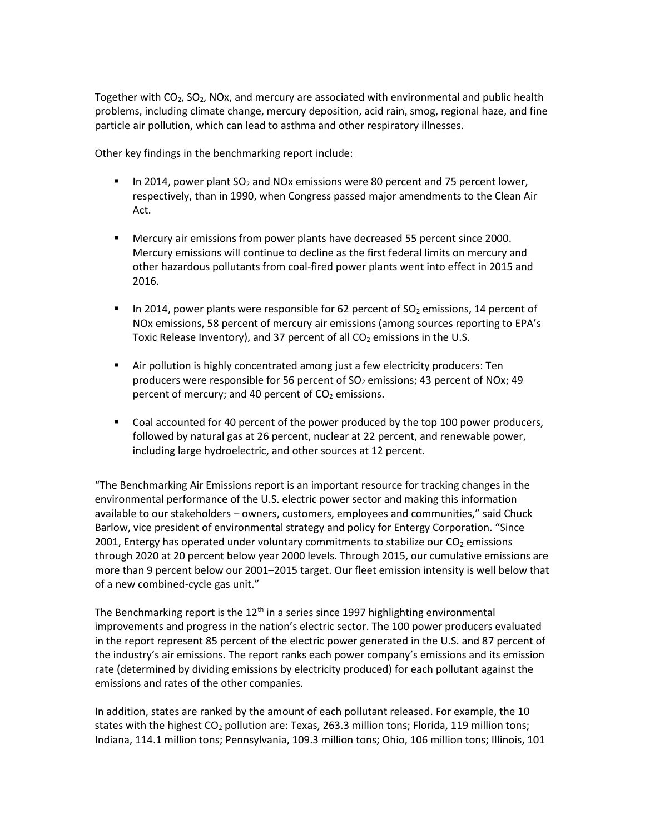Together with  $CO<sub>2</sub>$ , SO<sub>2</sub>, NOx, and mercury are associated with environmental and public health problems, including climate change, mercury deposition, acid rain, smog, regional haze, and fine particle air pollution, which can lead to asthma and other respiratory illnesses.

Other key findings in the benchmarking report include:

- In 2014, power plant  $SO<sub>2</sub>$  and NOx emissions were 80 percent and 75 percent lower, respectively, than in 1990, when Congress passed major amendments to the Clean Air Act.
- Mercury air emissions from power plants have decreased 55 percent since 2000. Mercury emissions will continue to decline as the first federal limits on mercury and other hazardous pollutants from coal-fired power plants went into effect in 2015 and 2016.
- In 2014, power plants were responsible for 62 percent of  $SO<sub>2</sub>$  emissions, 14 percent of NOx emissions, 58 percent of mercury air emissions (among sources reporting to EPA's Toxic Release Inventory), and 37 percent of all  $CO<sub>2</sub>$  emissions in the U.S.
- Air pollution is highly concentrated among just a few electricity producers: Ten producers were responsible for 56 percent of  $SO<sub>2</sub>$  emissions; 43 percent of NOx; 49 percent of mercury; and 40 percent of  $CO<sub>2</sub>$  emissions.
- Coal accounted for 40 percent of the power produced by the top 100 power producers, followed by natural gas at 26 percent, nuclear at 22 percent, and renewable power, including large hydroelectric, and other sources at 12 percent.

"The Benchmarking Air Emissions report is an important resource for tracking changes in the environmental performance of the U.S. electric power sector and making this information available to our stakeholders – owners, customers, employees and communities," said Chuck Barlow, vice president of environmental strategy and policy for Entergy Corporation. "Since 2001, Entergy has operated under voluntary commitments to stabilize our  $CO<sub>2</sub>$  emissions through 2020 at 20 percent below year 2000 levels. Through 2015, our cumulative emissions are more than 9 percent below our 2001–2015 target. Our fleet emission intensity is well below that of a new combined-cycle gas unit."

The Benchmarking report is the  $12<sup>th</sup>$  in a series since 1997 highlighting environmental improvements and progress in the nation's electric sector. The 100 power producers evaluated in the report represent 85 percent of the electric power generated in the U.S. and 87 percent of the industry's air emissions. The report ranks each power company's emissions and its emission rate (determined by dividing emissions by electricity produced) for each pollutant against the emissions and rates of the other companies.

In addition, states are ranked by the amount of each pollutant released. For example, the 10 states with the highest  $CO<sub>2</sub>$  pollution are: Texas, 263.3 million tons; Florida, 119 million tons; Indiana, 114.1 million tons; Pennsylvania, 109.3 million tons; Ohio, 106 million tons; Illinois, 101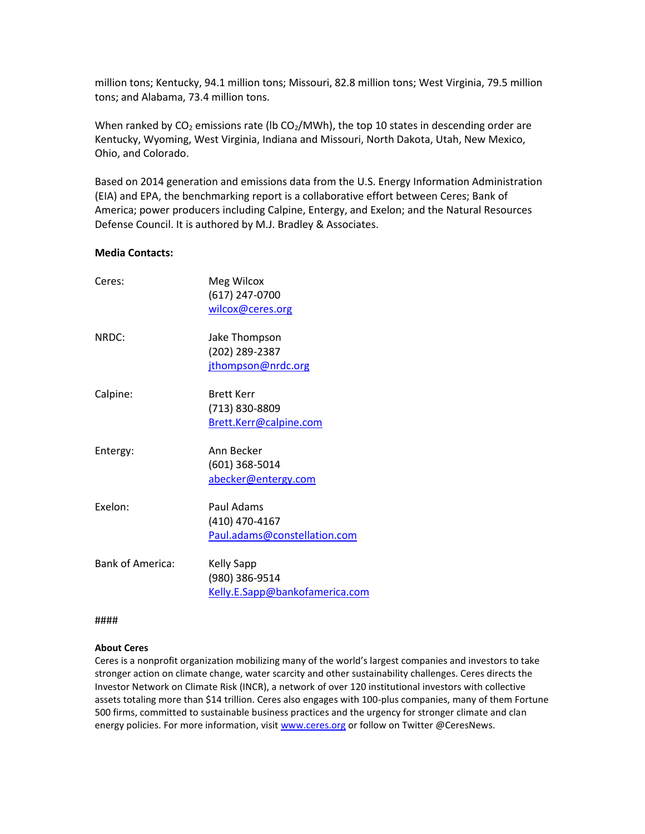million tons; Kentucky, 94.1 million tons; Missouri, 82.8 million tons; West Virginia, 79.5 million tons; and Alabama, 73.4 million tons.

When ranked by  $CO<sub>2</sub>$  emissions rate (Ib  $CO<sub>2</sub>/MWh$ ), the top 10 states in descending order are Kentucky, Wyoming, West Virginia, Indiana and Missouri, North Dakota, Utah, New Mexico, Ohio, and Colorado.

Based on 2014 generation and emissions data from the U.S. Energy Information Administration (EIA) and EPA, the benchmarking report is a collaborative effort between Ceres; Bank of America; power producers including Calpine, Entergy, and Exelon; and the Natural Resources Defense Council. It is authored by M.J. Bradley & Associates.

## **Media Contacts:**

| Ceres:                  | Meg Wilcox                     |
|-------------------------|--------------------------------|
|                         | (617) 247-0700                 |
|                         | wilcox@ceres.org               |
| NRDC:                   | Jake Thompson                  |
|                         | (202) 289-2387                 |
|                         | jthompson@nrdc.org             |
| Calpine:                | <b>Brett Kerr</b>              |
|                         | (713) 830-8809                 |
|                         | Brett.Kerr@calpine.com         |
| Entergy:                | Ann Becker                     |
|                         | (601) 368-5014                 |
|                         | abecker@entergy.com            |
| Fxelon:                 | Paul Adams                     |
|                         | (410) 470-4167                 |
|                         | Paul.adams@constellation.com   |
| <b>Bank of America:</b> | <b>Kelly Sapp</b>              |
|                         | (980) 386-9514                 |
|                         | Kelly.E.Sapp@bankofamerica.com |

####

## **About Ceres**

Ceres is a nonprofit organization mobilizing many of the world's largest companies and investors to take stronger action on climate change, water scarcity and other sustainability challenges. Ceres directs the Investor Network on Climate Risk (INCR), a network of over 120 institutional investors with collective assets totaling more than \$14 trillion. Ceres also engages with 100-plus companies, many of them Fortune 500 firms, committed to sustainable business practices and the urgency for stronger climate and clan energy policies. For more information, visit [www.ceres.org](http://www.ceres.org/) or follow on Twitter @CeresNews.